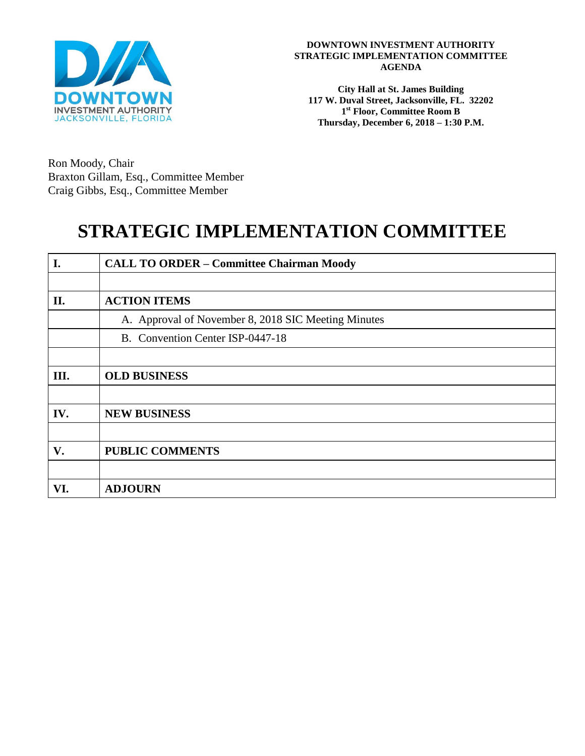

**DOWNTOWN INVESTMENT AUTHORITY STRATEGIC IMPLEMENTATION COMMITTEE AGENDA**

**City Hall at St. James Building 117 W. Duval Street, Jacksonville, FL. 32202 1 st Floor, Committee Room B Thursday, December 6, 2018 – 1:30 P.M.**

Ron Moody, Chair Braxton Gillam, Esq., Committee Member Craig Gibbs, Esq., Committee Member

# **STRATEGIC IMPLEMENTATION COMMITTEE**

| I.  | <b>CALL TO ORDER - Committee Chairman Moody</b>     |
|-----|-----------------------------------------------------|
|     |                                                     |
| II. | <b>ACTION ITEMS</b>                                 |
|     | A. Approval of November 8, 2018 SIC Meeting Minutes |
|     | B. Convention Center ISP-0447-18                    |
|     |                                                     |
| Ш.  | <b>OLD BUSINESS</b>                                 |
|     |                                                     |
| IV. | <b>NEW BUSINESS</b>                                 |
|     |                                                     |
| V.  | <b>PUBLIC COMMENTS</b>                              |
|     |                                                     |
| VI. | <b>ADJOURN</b>                                      |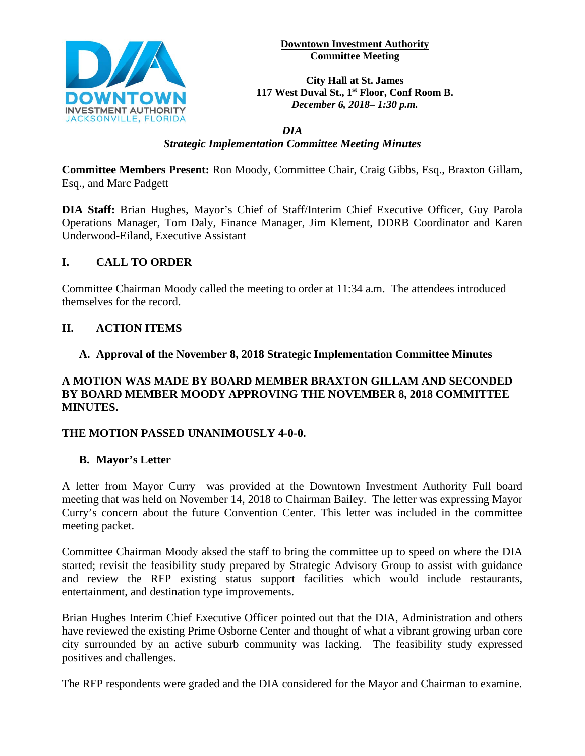

**Downtown Investment Authority Committee Meeting** 

**City Hall at St. James 117 West Duval St., 1st Floor, Conf Room B.**  *December 6, 2018– 1:30 p.m.*

#### *DIA Strategic Implementation Committee Meeting Minutes*

**Committee Members Present:** Ron Moody, Committee Chair, Craig Gibbs, Esq., Braxton Gillam, Esq., and Marc Padgett

**DIA Staff:** Brian Hughes, Mayor's Chief of Staff/Interim Chief Executive Officer, Guy Parola Operations Manager, Tom Daly, Finance Manager, Jim Klement, DDRB Coordinator and Karen Underwood-Eiland, Executive Assistant

# **I. CALL TO ORDER**

Committee Chairman Moody called the meeting to order at 11:34 a.m. The attendees introduced themselves for the record.

## **II. ACTION ITEMS**

## **A. Approval of the November 8, 2018 Strategic Implementation Committee Minutes**

#### **A MOTION WAS MADE BY BOARD MEMBER BRAXTON GILLAM AND SECONDED BY BOARD MEMBER MOODY APPROVING THE NOVEMBER 8, 2018 COMMITTEE MINUTES.**

#### **THE MOTION PASSED UNANIMOUSLY 4-0-0.**

#### **B. Mayor's Letter**

A letter from Mayor Curry was provided at the Downtown Investment Authority Full board meeting that was held on November 14, 2018 to Chairman Bailey. The letter was expressing Mayor Curry's concern about the future Convention Center. This letter was included in the committee meeting packet.

Committee Chairman Moody aksed the staff to bring the committee up to speed on where the DIA started; revisit the feasibility study prepared by Strategic Advisory Group to assist with guidance and review the RFP existing status support facilities which would include restaurants, entertainment, and destination type improvements.

Brian Hughes Interim Chief Executive Officer pointed out that the DIA, Administration and others have reviewed the existing Prime Osborne Center and thought of what a vibrant growing urban core city surrounded by an active suburb community was lacking. The feasibility study expressed positives and challenges.

The RFP respondents were graded and the DIA considered for the Mayor and Chairman to examine.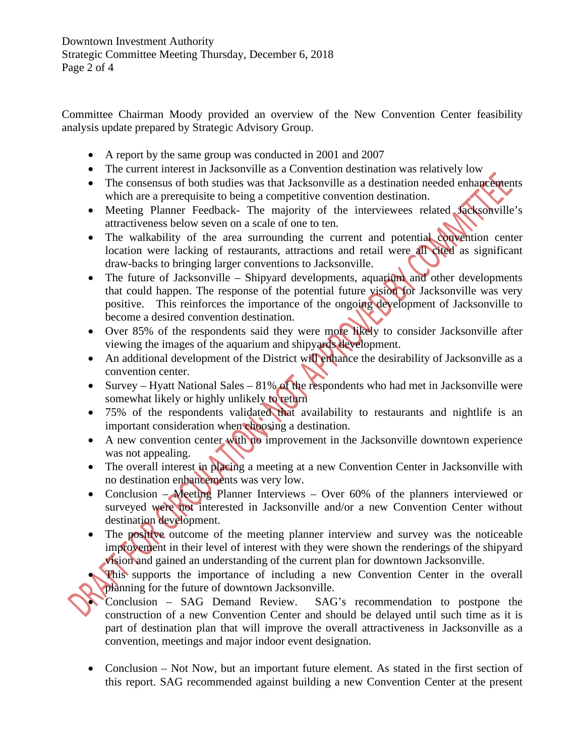Committee Chairman Moody provided an overview of the New Convention Center feasibility analysis update prepared by Strategic Advisory Group.

- A report by the same group was conducted in 2001 and 2007
- The current interest in Jacksonville as a Convention destination was relatively low
- The consensus of both studies was that Jacksonville as a destination needed enhancements which are a prerequisite to being a competitive convention destination.
- Meeting Planner Feedback- The majority of the interviewees related Jacksonville's attractiveness below seven on a scale of one to ten.
- The walkability of the area surrounding the current and potential convention center location were lacking of restaurants, attractions and retail were all cited as significant draw-backs to bringing larger conventions to Jacksonville.
- The future of Jacksonville Shipyard developments, aquarium and other developments that could happen. The response of the potential future vision for Jacksonville was very positive. This reinforces the importance of the ongoing development of Jacksonville to become a desired convention destination.
- Over 85% of the respondents said they were more likely to consider Jacksonville after viewing the images of the aquarium and shipyards development.
- An additional development of the District will enhance the desirability of Jacksonville as a convention center.
- Survey Hyatt National Sales 81% of the respondents who had met in Jacksonville were somewhat likely or highly unlikely to return
- 75% of the respondents validated that availability to restaurants and nightlife is an important consideration when choosing a destination.
- A new convention center with no improvement in the Jacksonville downtown experience was not appealing.
- The overall interest in placing a meeting at a new Convention Center in Jacksonville with no destination enhancements was very low.
- Conclusion Meeting Planner Interviews Over 60% of the planners interviewed or surveyed were not interested in Jacksonville and/or a new Convention Center without destination development.
- The positive outcome of the meeting planner interview and survey was the noticeable improvement in their level of interest with they were shown the renderings of the shipyard vision and gained an understanding of the current plan for downtown Jacksonville.
- This supports the importance of including a new Convention Center in the overall planning for the future of downtown Jacksonville.
- Conclusion SAG Demand Review. SAG's recommendation to postpone the construction of a new Convention Center and should be delayed until such time as it is part of destination plan that will improve the overall attractiveness in Jacksonville as a convention, meetings and major indoor event designation.
- Conclusion Not Now, but an important future element. As stated in the first section of this report. SAG recommended against building a new Convention Center at the present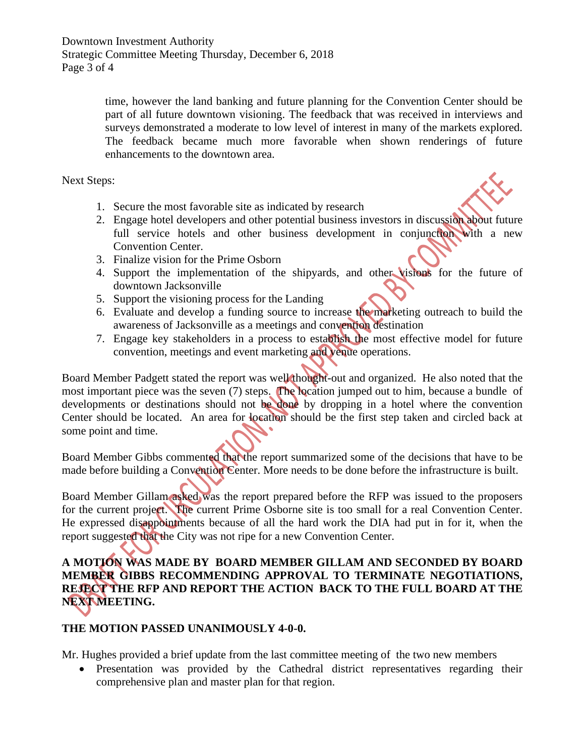time, however the land banking and future planning for the Convention Center should be part of all future downtown visioning. The feedback that was received in interviews and surveys demonstrated a moderate to low level of interest in many of the markets explored. The feedback became much more favorable when shown renderings of future enhancements to the downtown area.

Next Steps:

- 1. Secure the most favorable site as indicated by research
- 2. Engage hotel developers and other potential business investors in discussion about future full service hotels and other business development in conjunction with a new Convention Center.
- 3. Finalize vision for the Prime Osborn
- 4. Support the implementation of the shipyards, and other visions for the future of downtown Jacksonville
- 5. Support the visioning process for the Landing
- 6. Evaluate and develop a funding source to increase the marketing outreach to build the awareness of Jacksonville as a meetings and convention destination
- 7. Engage key stakeholders in a process to establish the most effective model for future convention, meetings and event marketing and venue operations.

Board Member Padgett stated the report was well thought-out and organized. He also noted that the most important piece was the seven (7) steps. The location jumped out to him, because a bundle of developments or destinations should not be done by dropping in a hotel where the convention Center should be located. An area for location should be the first step taken and circled back at some point and time.

Board Member Gibbs commented that the report summarized some of the decisions that have to be made before building a Convention Center. More needs to be done before the infrastructure is built.

Board Member Gillam asked was the report prepared before the RFP was issued to the proposers for the current project. The current Prime Osborne site is too small for a real Convention Center. He expressed disappointments because of all the hard work the DIA had put in for it, when the report suggested that the City was not ripe for a new Convention Center.

# **A MOTION WAS MADE BY BOARD MEMBER GILLAM AND SECONDED BY BOARD MEMBER GIBBS RECOMMENDING APPROVAL TO TERMINATE NEGOTIATIONS, REJECT THE RFP AND REPORT THE ACTION BACK TO THE FULL BOARD AT THE NEXT MEETING.**

#### **THE MOTION PASSED UNANIMOUSLY 4-0-0.**

Mr. Hughes provided a brief update from the last committee meeting of the two new members

• Presentation was provided by the Cathedral district representatives regarding their comprehensive plan and master plan for that region.